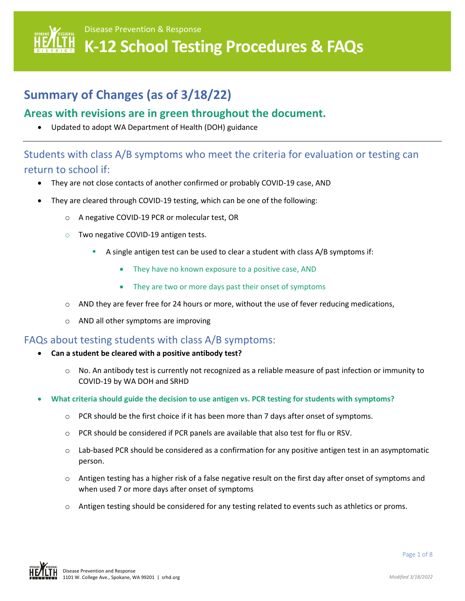

# **Summary of Changes (as of 3/18/22)**

## **Areas with revisions are in green throughout the document.**

• Updated to adopt WA Department of Health (DOH) guidance

## Students with class A/B symptoms who meet the criteria for evaluation or testing can return to school if:

- They are not close contacts of another confirmed or probably COVID-19 case, AND
- They are cleared through COVID-19 testing, which can be one of the following:
	- o A negative COVID-19 PCR or molecular test, OR
	- o Two negative COVID-19 antigen tests.
		- A single antigen test can be used to clear a student with class A/B symptoms if:
			- They have no known exposure to a positive case, AND
			- They are two or more days past their onset of symptoms
	- $\circ$  AND they are fever free for 24 hours or more, without the use of fever reducing medications,
	- o AND all other symptoms are improving

### FAQs about testing students with class A/B symptoms:

- **Can a student be cleared with a positive antibody test?**
	- o No. An antibody test is currently not recognized as a reliable measure of past infection or immunity to COVID-19 by WA DOH and SRHD
- **What criteria should guide the decision to use antigen vs. PCR testing for students with symptoms?**
	- $\circ$  PCR should be the first choice if it has been more than 7 days after onset of symptoms.
	- o PCR should be considered if PCR panels are available that also test for flu or RSV.
	- o Lab-based PCR should be considered as a confirmation for any positive antigen test in an asymptomatic person.
	- $\circ$  Antigen testing has a higher risk of a false negative result on the first day after onset of symptoms and when used 7 or more days after onset of symptoms
	- $\circ$  Antigen testing should be considered for any testing related to events such as athletics or proms.

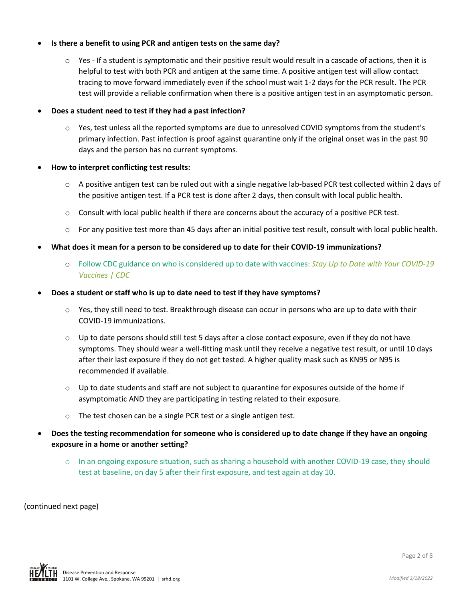#### • **Is there a benefit to using PCR and antigen tests on the same day?**

 $\circ$  Yes - If a student is symptomatic and their positive result would result in a cascade of actions, then it is helpful to test with both PCR and antigen at the same time. A positive antigen test will allow contact tracing to move forward immediately even if the school must wait 1-2 days for the PCR result. The PCR test will provide a reliable confirmation when there is a positive antigen test in an asymptomatic person.

#### • **Does a student need to test if they had a past infection?**

 $\circ$  Yes, test unless all the reported symptoms are due to unresolved COVID symptoms from the student's primary infection. Past infection is proof against quarantine only if the original onset was in the past 90 days and the person has no current symptoms.

#### • **How to interpret conflicting test results:**

- $\circ$  A positive antigen test can be ruled out with a single negative lab-based PCR test collected within 2 days of the positive antigen test. If a PCR test is done after 2 days, then consult with local public health.
- o Consult with local public health if there are concerns about the accuracy of a positive PCR test.
- $\circ$  For any positive test more than 45 days after an initial positive test result, consult with local public health.
- **What does it mean for a person to be considered up to date for their COVID-19 immunizations?**
	- o Follow CDC guidance on who is considered up to date with vaccines: *[Stay Up to Date with Your COVID-19](https://www.cdc.gov/coronavirus/2019-ncov/vaccines/stay-up-to-date.html)  [Vaccines | CDC](https://www.cdc.gov/coronavirus/2019-ncov/vaccines/stay-up-to-date.html)*
- **Does a student or staff who is up to date need to test if they have symptoms?**
	- $\circ$  Yes, they still need to test. Breakthrough disease can occur in persons who are up to date with their COVID-19 immunizations.
	- $\circ$  Up to date persons should still test 5 days after a close contact exposure, even if they do not have symptoms. They should wear a well-fitting mask until they receive a negative test result, or until 10 days after their last exposure if they do not get tested. A higher quality mask such as KN95 or N95 is recommended if available.
	- $\circ$  Up to date students and staff are not subject to quarantine for exposures outside of the home if asymptomatic AND they are participating in testing related to their exposure.
	- o The test chosen can be a single PCR test or a single antigen test.
- **Does the testing recommendation for someone who is considered up to date change if they have an ongoing exposure in a home or another setting?**
	- o In an ongoing exposure situation, such as sharing a household with another COVID-19 case, they should test at baseline, on day 5 after their first exposure, and test again at day 10.

(continued next page)

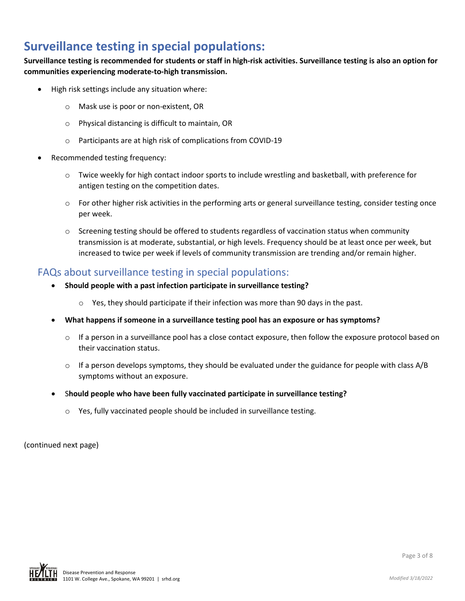# **Surveillance testing in special populations:**

**Surveillance testing is recommended for students or staff in high-risk activities. Surveillance testing is also an option for communities experiencing moderate-to-high transmission.**

- High risk settings include any situation where:
	- o Mask use is poor or non-existent, OR
	- o Physical distancing is difficult to maintain, OR
	- o Participants are at high risk of complications from COVID-19
- Recommended testing frequency:
	- o Twice weekly for high contact indoor sports to include wrestling and basketball, with preference for antigen testing on the competition dates.
	- $\circ$  For other higher risk activities in the performing arts or general surveillance testing, consider testing once per week.
	- $\circ$  Screening testing should be offered to students regardless of vaccination status when community transmission is at moderate, substantial, or high levels. Frequency should be at least once per week, but increased to twice per week if levels of community transmission are trending and/or remain higher.

### FAQs about surveillance testing in special populations:

- **Should people with a past infection participate in surveillance testing?**
	- o Yes, they should participate if their infection was more than 90 days in the past.
- **What happens if someone in a surveillance testing pool has an exposure or has symptoms?**
	- $\circ$  If a person in a surveillance pool has a close contact exposure, then follow the exposure protocol based on their vaccination status.
	- $\circ$  If a person develops symptoms, they should be evaluated under the guidance for people with class A/B symptoms without an exposure.
- S**hould people who have been fully vaccinated participate in surveillance testing?**
	- o Yes, fully vaccinated people should be included in surveillance testing.

(continued next page)

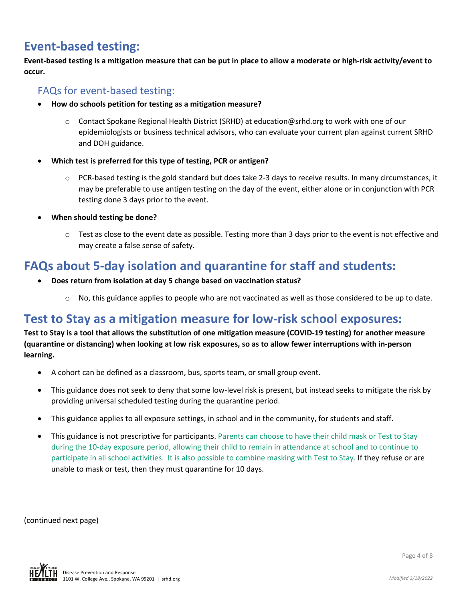# **Event-based testing:**

**Event-based testing is a mitigation measure that can be put in place to allow a moderate or high-risk activity/event to occur.** 

### FAQs for event-based testing:

- **How do schools petition for testing as a mitigation measure?**
	- o Contact Spokane Regional Health District (SRHD) at education@srhd.org to work with one of our epidemiologists or business technical advisors, who can evaluate your current plan against current SRHD and DOH guidance.
- **Which test is preferred for this type of testing, PCR or antigen?**
	- o PCR-based testing is the gold standard but does take 2-3 days to receive results. In many circumstances, it may be preferable to use antigen testing on the day of the event, either alone or in conjunction with PCR testing done 3 days prior to the event.
- **When should testing be done?**
	- $\circ$  Test as close to the event date as possible. Testing more than 3 days prior to the event is not effective and may create a false sense of safety.

# **FAQs about 5-day isolation and quarantine for staff and students:**

- **Does return from isolation at day 5 change based on vaccination status?**
	- $\circ$  No, this guidance applies to people who are not vaccinated as well as those considered to be up to date.

# **Test to Stay as a mitigation measure for low-risk school exposures:**

**Test to Stay is a tool that allows the substitution of one mitigation measure (COVID-19 testing) for another measure (quarantine or distancing) when looking at low risk exposures, so as to allow fewer interruptions with in-person learning.**

- A cohort can be defined as a classroom, bus, sports team, or small group event.
- This guidance does not seek to deny that some low-level risk is present, but instead seeks to mitigate the risk by providing universal scheduled testing during the quarantine period.
- This guidance applies to all exposure settings, in school and in the community, for students and staff.
- This guidance is not prescriptive for participants. Parents can choose to have their child mask or Test to Stay during the 10-day exposure period, allowing their child to remain in attendance at school and to continue to participate in all school activities. It is also possible to combine masking with Test to Stay. If they refuse or are unable to mask or test, then they must quarantine for 10 days.

(continued next page)

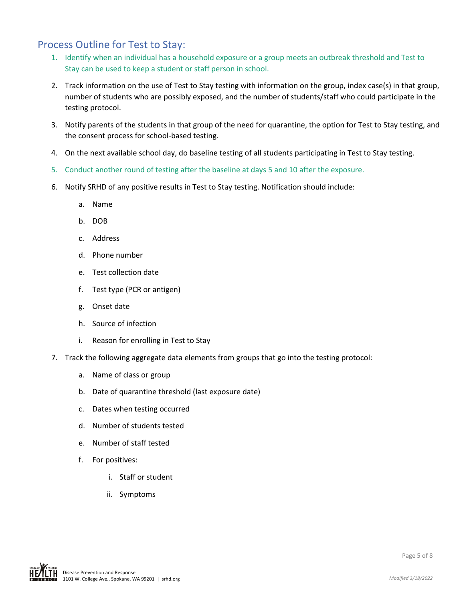## Process Outline for Test to Stay:

- 1. Identify when an individual has a household exposure or a group meets an outbreak threshold and Test to Stay can be used to keep a student or staff person in school.
- 2. Track information on the use of Test to Stay testing with information on the group, index case(s) in that group, number of students who are possibly exposed, and the number of students/staff who could participate in the testing protocol.
- 3. Notify parents of the students in that group of the need for quarantine, the option for Test to Stay testing, and the consent process for school-based testing.
- 4. On the next available school day, do baseline testing of all students participating in Test to Stay testing.
- 5. Conduct another round of testing after the baseline at days 5 and 10 after the exposure.
- 6. Notify SRHD of any positive results in Test to Stay testing. Notification should include:
	- a. Name
	- b. DOB
	- c. Address
	- d. Phone number
	- e. Test collection date
	- f. Test type (PCR or antigen)
	- g. Onset date
	- h. Source of infection
	- i. Reason for enrolling in Test to Stay
- 7. Track the following aggregate data elements from groups that go into the testing protocol:
	- a. Name of class or group
	- b. Date of quarantine threshold (last exposure date)
	- c. Dates when testing occurred
	- d. Number of students tested
	- e. Number of staff tested
	- f. For positives:
		- i. Staff or student
		- ii. Symptoms

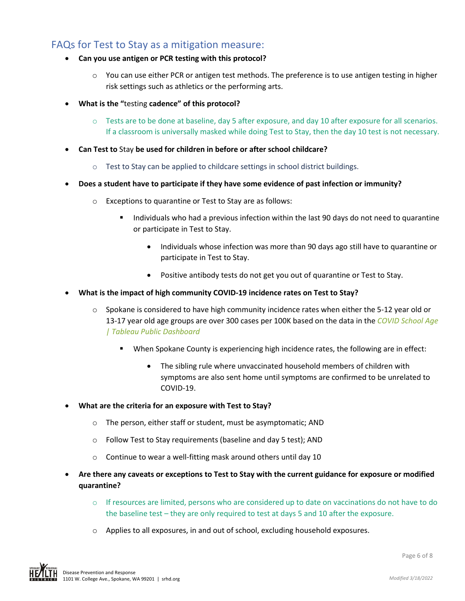### FAQs for Test to Stay as a mitigation measure:

- **Can you use antigen or PCR testing with this protocol?**
	- $\circ$  You can use either PCR or antigen test methods. The preference is to use antigen testing in higher risk settings such as athletics or the performing arts.
- **What is the "**testing **cadence" of this protocol?** 
	- $\circ$  Tests are to be done at baseline, day 5 after exposure, and day 10 after exposure for all scenarios. If a classroom is universally masked while doing Test to Stay, then the day 10 test is not necessary.
- **Can Test to** Stay **be used for children in before or after school childcare?**
	- o Test to Stay can be applied to childcare settings in school district buildings.
- **Does a student have to participate if they have some evidence of past infection or immunity?**
	- o Exceptions to quarantine or Test to Stay are as follows:
		- Individuals who had a previous infection within the last 90 days do not need to quarantine or participate in Test to Stay.
			- Individuals whose infection was more than 90 days ago still have to quarantine or participate in Test to Stay.
			- Positive antibody tests do not get you out of quarantine or Test to Stay.
- **What is the impact of high community COVID-19 incidence rates on Test to Stay?**
	- $\circ$  Spokane is considered to have high community incidence rates when either the 5-12 year old or 13-17 year old age groups are over 300 cases per 100K based on the data in the *[COVID School Age](https://public.tableau.com/app/profile/amy.riffe/viz/CovidSchoolAge/Dashboard1)  [| Tableau Public Dashboard](https://public.tableau.com/app/profile/amy.riffe/viz/CovidSchoolAge/Dashboard1)*
		- When Spokane County is experiencing high incidence rates, the following are in effect:
			- The sibling rule where unvaccinated household members of children with symptoms are also sent home until symptoms are confirmed to be unrelated to COVID-19.
- **What are the criteria for an exposure with Test to Stay?** 
	- o The person, either staff or student, must be asymptomatic; AND
	- o Follow Test to Stay requirements (baseline and day 5 test); AND
	- o Continue to wear a well-fitting mask around others until day 10
- **Are there any caveats or exceptions to Test to Stay with the current guidance for exposure or modified quarantine?** 
	- $\circ$  If resources are limited, persons who are considered up to date on vaccinations do not have to do the baseline test – they are only required to test at days 5 and 10 after the exposure.
	- $\circ$  Applies to all exposures, in and out of school, excluding household exposures.

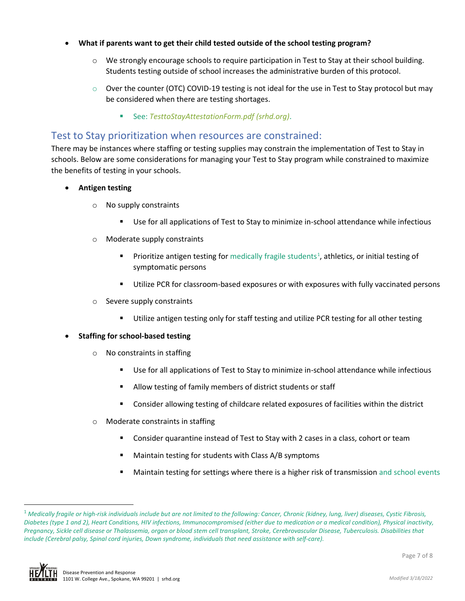#### • **What if parents want to get their child tested outside of the school testing program?**

- $\circ$  We strongly encourage schools to require participation in Test to Stay at their school building. Students testing outside of school increases the administrative burden of this protocol.
- $\circ$  Over the counter (OTC) COVID-19 testing is not ideal for the use in Test to Stay protocol but may be considered when there are testing shortages.
	- See: *[TesttoStayAttestationForm.pdf \(srhd.org\)](https://srhd.org/media/documents/TesttoStayAttestationForm.pdf).*

#### Test to Stay prioritization when resources are constrained:

There may be instances where staffing or testing supplies may constrain the implementation of Test to Stay in schools. Below are some considerations for managing your Test to Stay program while constrained to maximize the benefits of testing in your schools.

- **Antigen testing**
	- o No supply constraints
		- Use for all applications of Test to Stay to minimize in-school attendance while infectious
	- o Moderate supply constraints
		- **Prioritize antigen testing for medically fragile students<sup>[1](#page-6-0)</sup>, athletics, or initial testing of** symptomatic persons
		- Utilize PCR for classroom-based exposures or with exposures with fully vaccinated persons
	- o Severe supply constraints
		- Utilize antigen testing only for staff testing and utilize PCR testing for all other testing
- **Staffing for school-based testing**
	- o No constraints in staffing
		- Use for all applications of Test to Stay to minimize in-school attendance while infectious
		- Allow testing of family members of district students or staff
		- Consider allowing testing of childcare related exposures of facilities within the district
	- o Moderate constraints in staffing
		- Consider quarantine instead of Test to Stay with 2 cases in a class, cohort or team
		- Maintain testing for students with Class A/B symptoms
		- **Maintain testing for settings where there is a higher risk of transmission** and school events

<span id="page-6-0"></span><sup>1</sup> *Medically fragile or high-risk individuals include but are not limited to the following: Cancer, Chronic (kidney, lung, liver) diseases, Cystic Fibrosis, Diabetes (type 1 and 2), Heart Conditions, HIV infections, Immunocompromised (either due to medication or a medical condition), Physical inactivity, Pregnancy, Sickle cell disease or Thalassemia, organ or blood stem cell transplant, Stroke, Cerebrovascular Disease, Tuberculosis. Disabilities that include (Cerebral palsy, Spinal cord injuries, Down syndrome, individuals that need assistance with self-care).*